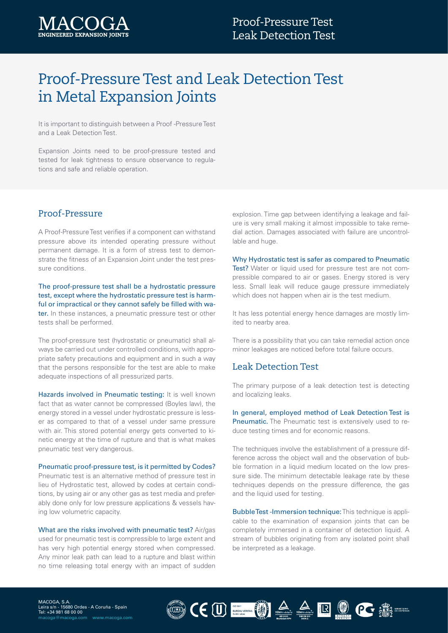

## Proof-Pressure Test and Leak Detection Test in Metal Expansion Joints

It is important to distinguish between a Proof -Pressure Test and a Leak Detection Test.

Expansion Joints need to be proof-pressure tested and tested for leak tightness to ensure observance to regulations and safe and reliable operation.

## Proof-Pressure

A Proof-Pressure Test verifies if a component can withstand pressure above its intended operating pressure without permanent damage. It is a form of stress test to demonstrate the fitness of an Expansion Joint under the test pressure conditions.

The proof-pressure test shall be a hydrostatic pressure test, except where the hydrostatic pressure test is harmful or impractical or they cannot safely be filled with water. In these instances, a pneumatic pressure test or other tests shall be performed.

The proof-pressure test (hydrostatic or pneumatic) shall always be carried out under controlled conditions, with appropriate safety precautions and equipment and in such a way that the persons responsible for the test are able to make adequate inspections of all pressurized parts.

Hazards involved in Pneumatic testing: It is well known fact that as water cannot be compressed (Boyles law), the energy stored in a vessel under hydrostatic pressure is lesser as compared to that of a vessel under same pressure with air. This stored potential energy gets converted to kinetic energy at the time of rupture and that is what makes pneumatic test very dangerous.

Pneumatic proof-pressure test, is it permitted by Codes? Pneumatic test is an alternative method of pressure test in lieu of Hydrostatic test, allowed by codes at certain conditions, by using air or any other gas as test media and preferably done only for low pressure applications & vessels having low volumetric capacity.

What are the risks involved with pneumatic test? Air/gas used for pneumatic test is compressible to large extent and has very high potential energy stored when compressed. Any minor leak path can lead to a rupture and blast within no time releasing total energy with an impact of sudden

explosion. Time gap between identifying a leakage and failure is very small making it almost impossible to take remedial action. Damages associated with failure are uncontrollable and huge.

Why Hydrostatic test is safer as compared to Pneumatic Test? Water or liquid used for pressure test are not compressible compared to air or gases. Energy stored is very less. Small leak will reduce gauge pressure immediately which does not happen when air is the test medium.

It has less potential energy hence damages are mostly limited to nearby area.

There is a possibility that you can take remedial action once minor leakages are noticed before total failure occurs.

## Leak Detection Test

The primary purpose of a leak detection test is detecting and localizing leaks.

In general, employed method of Leak Detection Test is **Pneumatic.** The Pneumatic test is extensively used to reduce testing times and for economic reasons.

The techniques involve the establishment of a pressure difference across the object wall and the observation of bubble formation in a liquid medium located on the low pressure side. The minimum detectable leakage rate by these techniques depends on the pressure difference, the gas and the liquid used for testing.

Bubble Test -Immersion technique: This technique is applicable to the examination of expansion joints that can be completely immersed in a container of detection liquid. A stream of bubbles originating from any isolated point shall be interpreted as a leakage.

MACOGA, S.A. Leira s/n - 15680 Ordes - A Coruña - Spain Tel: +34 981 68 00 00 macoga@macoga.com www.macoga.com CEU EN A A R C E